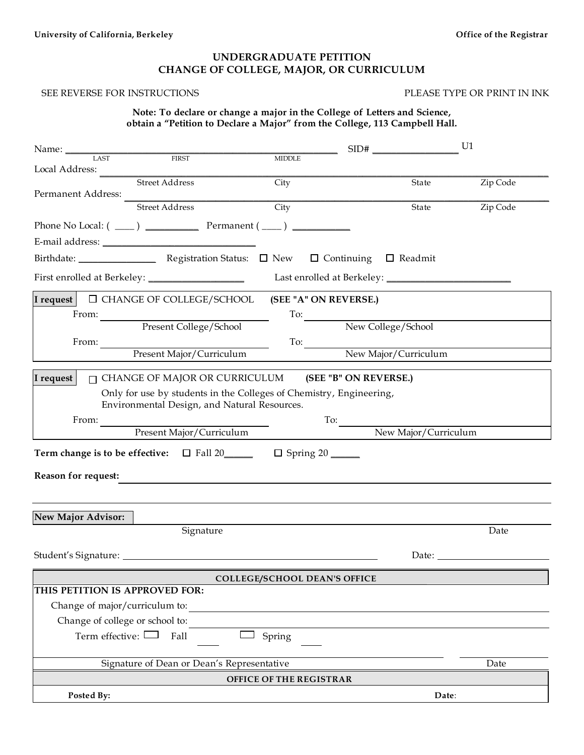### **UNDERGRADUATE PETITION CHANGE OF COLLEGE, MAJOR, OR CURRICULUM**

#### SEE REVERSE FOR INSTRUCTIONS PLEASE TYPE OR PRINT IN INK

| Note: To declare or change a major in the College of Letters and Science, |  |  |                                                                             |
|---------------------------------------------------------------------------|--|--|-----------------------------------------------------------------------------|
|                                                                           |  |  | obtain a "Petition to Declare a Major" from the College, 113 Campbell Hall. |

| Name: LAST                          |                                                                                                                                                                                                                                                                                                                                                                                                                                                                                                                         |                                                                                      |                        | U1                                                                                                                                                                                                                             |  |  |  |
|-------------------------------------|-------------------------------------------------------------------------------------------------------------------------------------------------------------------------------------------------------------------------------------------------------------------------------------------------------------------------------------------------------------------------------------------------------------------------------------------------------------------------------------------------------------------------|--------------------------------------------------------------------------------------|------------------------|--------------------------------------------------------------------------------------------------------------------------------------------------------------------------------------------------------------------------------|--|--|--|
|                                     | <b>FIRST</b>                                                                                                                                                                                                                                                                                                                                                                                                                                                                                                            | <b>MIDDLE</b>                                                                        |                        |                                                                                                                                                                                                                                |  |  |  |
| Local Address:                      | Street Address                                                                                                                                                                                                                                                                                                                                                                                                                                                                                                          | City                                                                                 | State                  | Zip Code                                                                                                                                                                                                                       |  |  |  |
| Permanent Address:                  |                                                                                                                                                                                                                                                                                                                                                                                                                                                                                                                         |                                                                                      |                        |                                                                                                                                                                                                                                |  |  |  |
|                                     | Street Address                                                                                                                                                                                                                                                                                                                                                                                                                                                                                                          | City                                                                                 | State                  | Zip Code                                                                                                                                                                                                                       |  |  |  |
|                                     |                                                                                                                                                                                                                                                                                                                                                                                                                                                                                                                         |                                                                                      |                        |                                                                                                                                                                                                                                |  |  |  |
|                                     | $E\text{-mail address:}\n\qquad \qquad \text{_________1:}\n\qquad \qquad \text{_________2:}\n\qquad \qquad \text{_________3:}\n\qquad \qquad \text{_________4:}\n\qquad \qquad \text{_________4:}\n\qquad \qquad \text{_________5:}\n\qquad \qquad \text{_________6:}\n\qquad \qquad \text{_________7:}\n\qquad \qquad \text{_________7:}\n\qquad \qquad \text{_________7:}\n\qquad \qquad \text{_________8:}\n\qquad \qquad \text{_________9:}\n\qquad \qquad \text{_________9:}\n\qquad \qquad \text{_________9:}\n\$ |                                                                                      |                        |                                                                                                                                                                                                                                |  |  |  |
|                                     |                                                                                                                                                                                                                                                                                                                                                                                                                                                                                                                         |                                                                                      |                        |                                                                                                                                                                                                                                |  |  |  |
|                                     |                                                                                                                                                                                                                                                                                                                                                                                                                                                                                                                         |                                                                                      |                        |                                                                                                                                                                                                                                |  |  |  |
|                                     |                                                                                                                                                                                                                                                                                                                                                                                                                                                                                                                         |                                                                                      |                        |                                                                                                                                                                                                                                |  |  |  |
|                                     | I request $\Box$ CHANGE OF COLLEGE/SCHOOL                                                                                                                                                                                                                                                                                                                                                                                                                                                                               | (SEE "A" ON REVERSE.)                                                                |                        |                                                                                                                                                                                                                                |  |  |  |
|                                     | From: Present College/School                                                                                                                                                                                                                                                                                                                                                                                                                                                                                            |                                                                                      | To: New College/School |                                                                                                                                                                                                                                |  |  |  |
|                                     |                                                                                                                                                                                                                                                                                                                                                                                                                                                                                                                         |                                                                                      |                        |                                                                                                                                                                                                                                |  |  |  |
| From:                               |                                                                                                                                                                                                                                                                                                                                                                                                                                                                                                                         | $\frac{1}{\sqrt{10}}$                                                                |                        |                                                                                                                                                                                                                                |  |  |  |
|                                     | Present Major/Curriculum                                                                                                                                                                                                                                                                                                                                                                                                                                                                                                |                                                                                      | New Major/Curriculum   |                                                                                                                                                                                                                                |  |  |  |
| I request                           | $\Box$ CHANGE OF MAJOR OR CURRICULUM                                                                                                                                                                                                                                                                                                                                                                                                                                                                                    |                                                                                      | (SEE "B" ON REVERSE.)  |                                                                                                                                                                                                                                |  |  |  |
|                                     |                                                                                                                                                                                                                                                                                                                                                                                                                                                                                                                         | Only for use by students in the Colleges of Chemistry, Engineering,                  |                        |                                                                                                                                                                                                                                |  |  |  |
|                                     | Environmental Design, and Natural Resources.                                                                                                                                                                                                                                                                                                                                                                                                                                                                            |                                                                                      |                        |                                                                                                                                                                                                                                |  |  |  |
| From:                               |                                                                                                                                                                                                                                                                                                                                                                                                                                                                                                                         | $\frac{1}{\sqrt{1-\frac{1}{2}}\cdot\frac{1}{\sqrt{1-\frac{1}{2}}\cdot\frac{1}{2}}}}$ |                        |                                                                                                                                                                                                                                |  |  |  |
|                                     | Present Major/Curriculum                                                                                                                                                                                                                                                                                                                                                                                                                                                                                                |                                                                                      | New Major/Curriculum   |                                                                                                                                                                                                                                |  |  |  |
|                                     |                                                                                                                                                                                                                                                                                                                                                                                                                                                                                                                         | Term change is to be effective: □ Fall 20_______ □ Spring 20 _____                   |                        |                                                                                                                                                                                                                                |  |  |  |
|                                     |                                                                                                                                                                                                                                                                                                                                                                                                                                                                                                                         |                                                                                      |                        |                                                                                                                                                                                                                                |  |  |  |
| <b>Reason for request:</b>          |                                                                                                                                                                                                                                                                                                                                                                                                                                                                                                                         |                                                                                      |                        |                                                                                                                                                                                                                                |  |  |  |
|                                     |                                                                                                                                                                                                                                                                                                                                                                                                                                                                                                                         |                                                                                      |                        |                                                                                                                                                                                                                                |  |  |  |
| <b>New Major Advisor:</b>           |                                                                                                                                                                                                                                                                                                                                                                                                                                                                                                                         |                                                                                      |                        |                                                                                                                                                                                                                                |  |  |  |
|                                     | Signature                                                                                                                                                                                                                                                                                                                                                                                                                                                                                                               |                                                                                      |                        | Date                                                                                                                                                                                                                           |  |  |  |
|                                     |                                                                                                                                                                                                                                                                                                                                                                                                                                                                                                                         |                                                                                      |                        |                                                                                                                                                                                                                                |  |  |  |
|                                     |                                                                                                                                                                                                                                                                                                                                                                                                                                                                                                                         |                                                                                      |                        | Date: the contract of the contract of the contract of the contract of the contract of the contract of the contract of the contract of the contract of the contract of the contract of the contract of the contract of the cont |  |  |  |
|                                     |                                                                                                                                                                                                                                                                                                                                                                                                                                                                                                                         | <b>COLLEGE/SCHOOL DEAN'S OFFICE</b>                                                  |                        |                                                                                                                                                                                                                                |  |  |  |
| THIS PETITION IS APPROVED FOR:      |                                                                                                                                                                                                                                                                                                                                                                                                                                                                                                                         |                                                                                      |                        |                                                                                                                                                                                                                                |  |  |  |
| Change of major/curriculum to:      |                                                                                                                                                                                                                                                                                                                                                                                                                                                                                                                         |                                                                                      |                        |                                                                                                                                                                                                                                |  |  |  |
| Change of college or school to:     |                                                                                                                                                                                                                                                                                                                                                                                                                                                                                                                         |                                                                                      |                        |                                                                                                                                                                                                                                |  |  |  |
| Term effective: L<br>Fall<br>Spring |                                                                                                                                                                                                                                                                                                                                                                                                                                                                                                                         |                                                                                      |                        |                                                                                                                                                                                                                                |  |  |  |
|                                     |                                                                                                                                                                                                                                                                                                                                                                                                                                                                                                                         |                                                                                      |                        |                                                                                                                                                                                                                                |  |  |  |
|                                     | Signature of Dean or Dean's Representative                                                                                                                                                                                                                                                                                                                                                                                                                                                                              |                                                                                      |                        | Date                                                                                                                                                                                                                           |  |  |  |
|                                     |                                                                                                                                                                                                                                                                                                                                                                                                                                                                                                                         | OFFICE OF THE REGISTRAR                                                              |                        |                                                                                                                                                                                                                                |  |  |  |
| Posted By:                          |                                                                                                                                                                                                                                                                                                                                                                                                                                                                                                                         |                                                                                      | Date:                  |                                                                                                                                                                                                                                |  |  |  |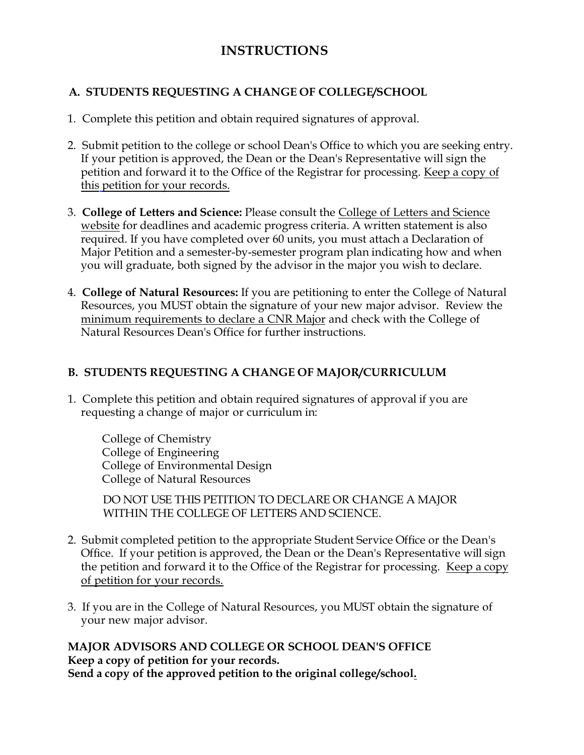# **INSTRUCTIONS**

## **A. STUDENTS REQUESTING A CHANGE OF COLLEGE/SCHOOL**

- 1. Complete this petition and obtain required signatures of approval.
- 2. Submit petition to the college or school Dean's Office to which you are seeking entry. If your petition is approved, the Dean or the Dean's Representative will sign the petition and forward it to the Office of the Registrar for processing. Keep a copy of this petition for your records.
- 3. **College of Letters and Science:** Please consult the [College of Letters and Science](https://ls.berkeley.edu/ls-office-undergraduate-advising) [website](https://ls.berkeley.edu/ls-office-undergraduate-advising) for deadlines and academic progress criteria. A written statement is also required. If you have completed over 60 units, you must attach a Declaration of Major Petition and a semester-by-semester program plan indicating how and when you will graduate, both signed by the advisor in the major you wish to declare.
- 4. **College of Natural Resources:** If you are petitioning to enter the College of Natural Resources, you MUST obtain the signature of your new major advisor. Review the [minimum requirements to declare a CNR Major](https://nature.berkeley.edu/sites/default/files/NON-CNR%20Students%20Declaring%20Major.pdf) and check with the College of Natural Resources Dean's Office for further instructions.

# **B. STUDENTS REQUESTING A CHANGE OF MAJOR/CURRICULUM**

1. Complete this petition and obtain required signatures of approval if you are requesting a change of major or curriculum in:

College of Chemistry College of Engineering College of Environmental Design College of Natural Resources

DO NOT USE THIS PETITION TO DECLARE OR CHANGE A MAJOR WITHIN THE COLLEGE OF LETTERS AND SCIENCE.

- 2. Submit completed petition to the appropriate Student Service Office or the Dean's Office. If your petition is approved, the Dean or the Dean's Representative will sign the petition and forward it to the Office of the Registrar for processing. Keep a copy of petition for your records.
- 3. If you are in the College of Natural Resources, you MUST obtain the signature of your new major advisor.

**MAJOR ADVISORS AND COLLEGE OR SCHOOL DEAN'S OFFICE Keep a copy of petition for your records. Send a copy of the approved petition to the original college/school.**